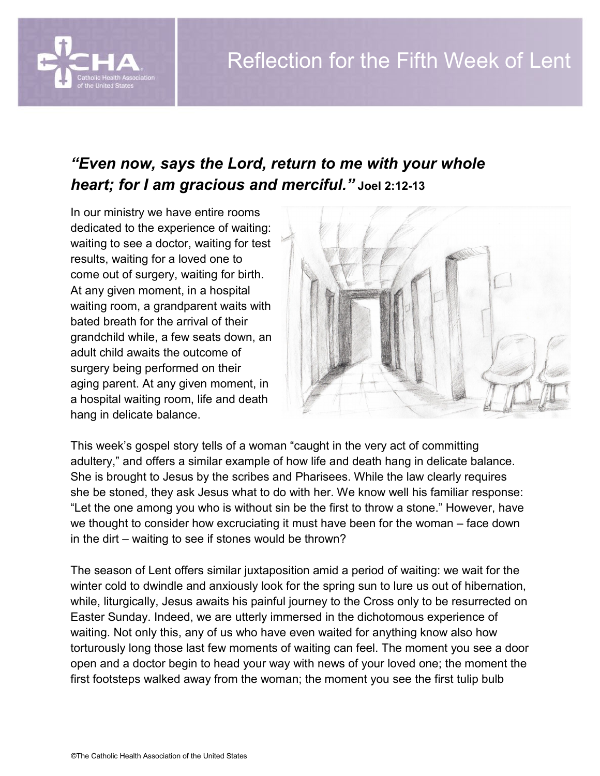## *"Even now, says the Lord, return to me with your whole heart; for I am gracious and merciful."* **Joel 2:12-13**

In our ministry we have entire rooms dedicated to the experience of waiting: waiting to see a doctor, waiting for test results, waiting for a loved one to come out of surgery, waiting for birth. At any given moment, in a hospital waiting room, a grandparent waits with bated breath for the arrival of their grandchild while, a few seats down, an adult child awaits the outcome of surgery being performed on their aging parent. At any given moment, in a hospital waiting room, life and death hang in delicate balance.



This week's gospel story tells of a woman "caught in the very act of committing adultery," and offers a similar example of how life and death hang in delicate balance. She is brought to Jesus by the scribes and Pharisees. While the law clearly requires she be stoned, they ask Jesus what to do with her. We know well his familiar response: "Let the one among you who is without sin be the first to throw a stone." However, have we thought to consider how excruciating it must have been for the woman – face down in the dirt – waiting to see if stones would be thrown?

The season of Lent offers similar juxtaposition amid a period of waiting: we wait for the winter cold to dwindle and anxiously look for the spring sun to lure us out of hibernation, while, liturgically, Jesus awaits his painful journey to the Cross only to be resurrected on Easter Sunday. Indeed, we are utterly immersed in the dichotomous experience of waiting. Not only this, any of us who have even waited for anything know also how torturously long those last few moments of waiting can feel. The moment you see a door open and a doctor begin to head your way with news of your loved one; the moment the first footsteps walked away from the woman; the moment you see the first tulip bulb